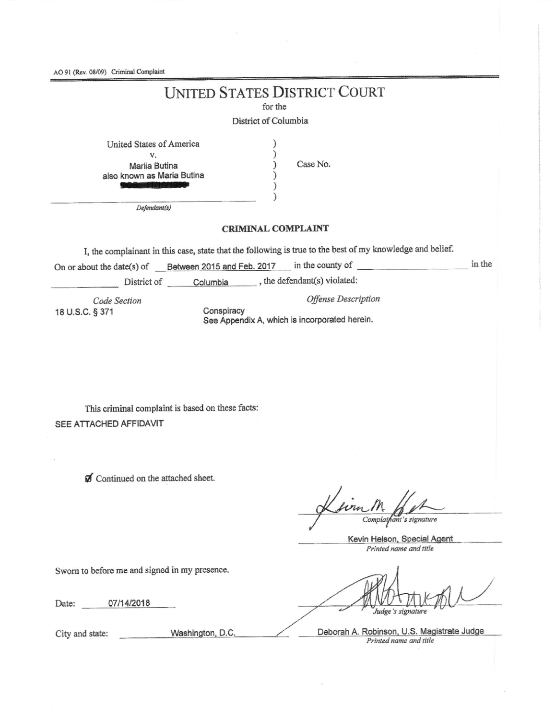AO 91 (Rev. 08/09) Criminal Complaint

# **UNITED STATES DISTRICT COURT**

for the

1

 $\mathcal{E}$ )

### District of Columbia

| United States of America   |
|----------------------------|
| v.                         |
| Marija Butina              |
| also known as Maria Butina |
|                            |

Case No.

**Offense** Description

 $Defendant(s)$ 

### **CRIMINAL COMPLAINT**

I, the complainant in this case, state that the following is true to the best of my knowledge and belief.

On or about the date(s) of Between 2015 and Feb. 2017 in the county of in the

District of Columbia , the defendant(s) violated:

Code Section 18 U.S.C. § 371

Conspiracy See Appendix A, which is incorporated herein.

This criminal complaint is based on these facts: SEE ATTACHED AFFIDAVIT

Continued on the attached sheet.

form Complainant's signature

Kevin Helson, Special Agent Printed name and title

Sworn to before me and signed in my presence.

Date: 07/14/2018

Washington, D.C. City and state:

Judge's signature

Deborah A. Robinson, U.S. Magistrate Judge Printed name and title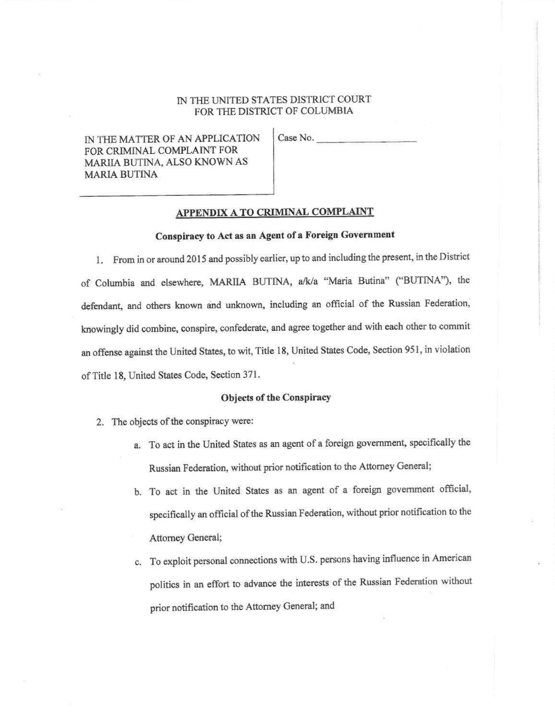## IN THE UNITED STATES DISTRICT COURT FOR THE DISTRICT OF COLUMBIA

IN THE MATTER OF AN APPLICATION FOR CRIMINAL COMPLAINT FOR MARIIA BUTINA, ALSO KNOWN AS **MARIA BUTINA** 

Case No.

#### APPENDIX A TO CRIMINAL COMPLAINT

# Conspiracy to Act as an Agent of a Foreign Government

1. From in or around 2015 and possibly earlier, up to and including the present, in the District of Columbia and elsewhere, MARIIA BUTINA, a/k/a "Maria Butina" ("BUTINA"), the defendant, and others known and unknown, including an official of the Russian Federation, knowingly did combine, conspire, confederate, and agree together and with each other to commit an offense against the United States, to wit, Title 18, United States Code, Section 951, in violation of Title 18, United States Code, Section 371.

#### Objects of the Conspiracy

- 2. The objects of the conspiracy were:
	- a. To act in the United States as an agent of a foreign government, specifically the Russian Federation, without prior notification to the Attorney General;
	- b. To act in the United States as an agent of a foreign government official, specifically an official of the Russian Federation, without prior notification to the Attorney General;
	- c. To exploit personal connections with U.S. persons having influence in American politics in an effort to advance the interests of the Russian Federation without prior notification to the Attorney General; and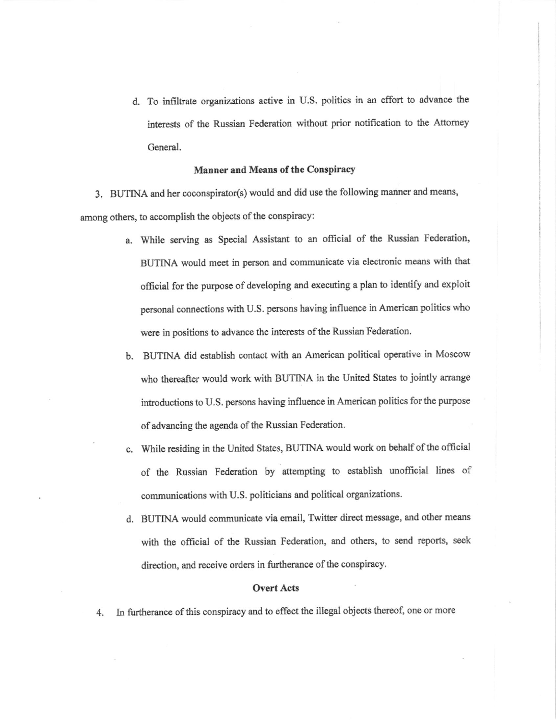d. To infiltrate organizations active in U.S. politics in an effort to advance the interests of the Russian Federation without prior notification to the Attorney General.

#### Manner and Means of the Conspiracy

3. BUTINA and her coconspirator(s) would and did use the following manner and means, among others, to accomplish the objects of the conspiracy:

- a. While serving as Special Assistant to an official of the Russian Federation, BUTINA would meet in person and communicate via electronic means with that official for the purpose of developing and executing a plan to identify and exploit personal connections with U.S. persons having influence in American politics who were in positions to advance the interests of the Russian Federation.
- b. BUTINA did establish contact with an American political operative in Moscow who thereafter would work with BUTINA in the United States to jointly arrange introductions to U.S. persons having influence in American politics for the purpose of advancing the agenda of the Russian Federation.
- c. While residing in the United States, BUTINA would work on behalf of the official of the Russian Federation by attempting to esablish unofficial lines of communications with U.S. politicians and political organizations.
- d. BUTINA would communicate via email, Twitter direct message, and other means with the official of the Russian Federation, and others, to send reports, seek direction, and receive orders in furtherance of the conspiracy.

#### **Overt Acts**

4. In furtherance of this conspiracy and to effect the illegal objects thereof, one or more